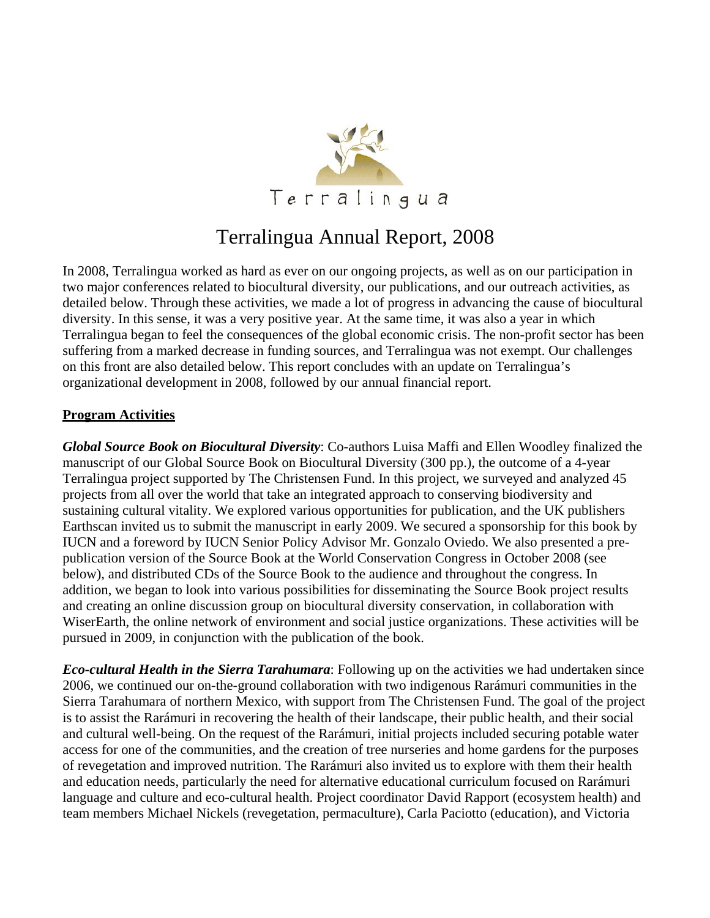

# Terralingua Annual Report, 2008

In 2008, Terralingua worked as hard as ever on our ongoing projects, as well as on our participation in two major conferences related to biocultural diversity, our publications, and our outreach activities, as detailed below. Through these activities, we made a lot of progress in advancing the cause of biocultural diversity. In this sense, it was a very positive year. At the same time, it was also a year in which Terralingua began to feel the consequences of the global economic crisis. The non-profit sector has been suffering from a marked decrease in funding sources, and Terralingua was not exempt. Our challenges on this front are also detailed below. This report concludes with an update on Terralingua's organizational development in 2008, followed by our annual financial report.

### **Program Activities**

*Global Source Book on Biocultural Diversity*: Co-authors Luisa Maffi and Ellen Woodley finalized the manuscript of our Global Source Book on Biocultural Diversity (300 pp.), the outcome of a 4-year Terralingua project supported by The Christensen Fund. In this project, we surveyed and analyzed 45 projects from all over the world that take an integrated approach to conserving biodiversity and sustaining cultural vitality. We explored various opportunities for publication, and the UK publishers Earthscan invited us to submit the manuscript in early 2009. We secured a sponsorship for this book by IUCN and a foreword by IUCN Senior Policy Advisor Mr. Gonzalo Oviedo. We also presented a prepublication version of the Source Book at the World Conservation Congress in October 2008 (see below), and distributed CDs of the Source Book to the audience and throughout the congress. In addition, we began to look into various possibilities for disseminating the Source Book project results and creating an online discussion group on biocultural diversity conservation, in collaboration with WiserEarth, the online network of environment and social justice organizations. These activities will be pursued in 2009, in conjunction with the publication of the book.

*Eco-cultural Health in the Sierra Tarahumara*: Following up on the activities we had undertaken since 2006, we continued our on-the-ground collaboration with two indigenous Rarámuri communities in the Sierra Tarahumara of northern Mexico, with support from The Christensen Fund. The goal of the project is to assist the Rarámuri in recovering the health of their landscape, their public health, and their social and cultural well-being. On the request of the Rarámuri, initial projects included securing potable water access for one of the communities, and the creation of tree nurseries and home gardens for the purposes of revegetation and improved nutrition. The Rarámuri also invited us to explore with them their health and education needs, particularly the need for alternative educational curriculum focused on Rarámuri language and culture and eco-cultural health. Project coordinator David Rapport (ecosystem health) and team members Michael Nickels (revegetation, permaculture), Carla Paciotto (education), and Victoria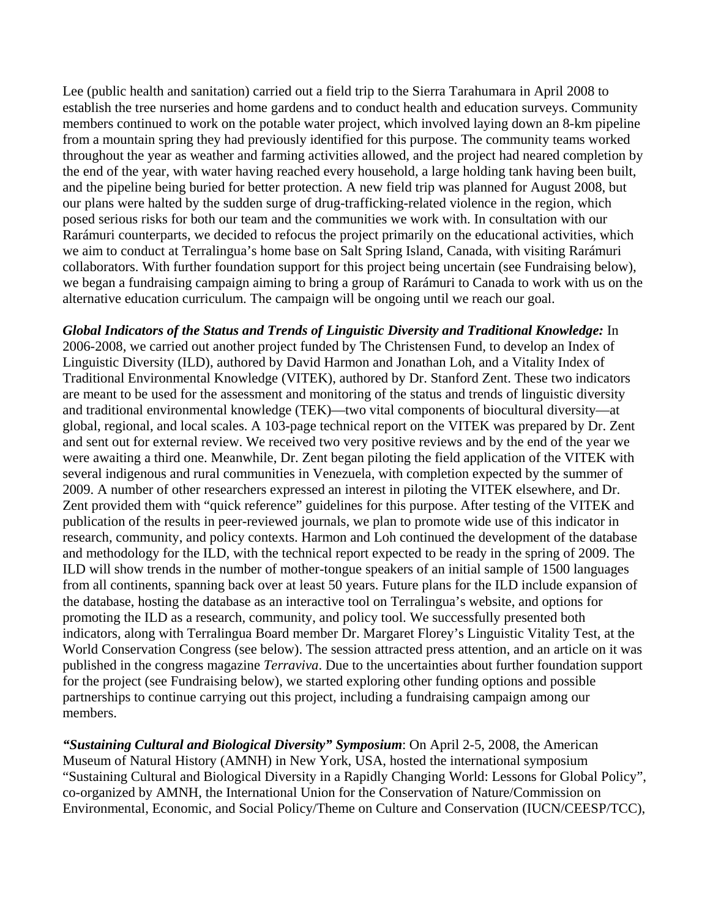Lee (public health and sanitation) carried out a field trip to the Sierra Tarahumara in April 2008 to establish the tree nurseries and home gardens and to conduct health and education surveys. Community members continued to work on the potable water project, which involved laying down an 8-km pipeline from a mountain spring they had previously identified for this purpose. The community teams worked throughout the year as weather and farming activities allowed, and the project had neared completion by the end of the year, with water having reached every household, a large holding tank having been built, and the pipeline being buried for better protection. A new field trip was planned for August 2008, but our plans were halted by the sudden surge of drug-trafficking-related violence in the region, which posed serious risks for both our team and the communities we work with. In consultation with our Rarámuri counterparts, we decided to refocus the project primarily on the educational activities, which we aim to conduct at Terralingua's home base on Salt Spring Island, Canada, with visiting Rarámuri collaborators. With further foundation support for this project being uncertain (see Fundraising below), we began a fundraising campaign aiming to bring a group of Rarámuri to Canada to work with us on the alternative education curriculum. The campaign will be ongoing until we reach our goal.

*Global Indicators of the Status and Trends of Linguistic Diversity and Traditional Knowledge:* In 2006-2008, we carried out another project funded by The Christensen Fund, to develop an Index of Linguistic Diversity (ILD), authored by David Harmon and Jonathan Loh, and a Vitality Index of Traditional Environmental Knowledge (VITEK), authored by Dr. Stanford Zent. These two indicators are meant to be used for the assessment and monitoring of the status and trends of linguistic diversity and traditional environmental knowledge (TEK)—two vital components of biocultural diversity—at global, regional, and local scales. A 103-page technical report on the VITEK was prepared by Dr. Zent and sent out for external review. We received two very positive reviews and by the end of the year we were awaiting a third one. Meanwhile, Dr. Zent began piloting the field application of the VITEK with several indigenous and rural communities in Venezuela, with completion expected by the summer of 2009. A number of other researchers expressed an interest in piloting the VITEK elsewhere, and Dr. Zent provided them with "quick reference" guidelines for this purpose. After testing of the VITEK and publication of the results in peer-reviewed journals, we plan to promote wide use of this indicator in research, community, and policy contexts. Harmon and Loh continued the development of the database and methodology for the ILD, with the technical report expected to be ready in the spring of 2009. The ILD will show trends in the number of mother-tongue speakers of an initial sample of 1500 languages from all continents, spanning back over at least 50 years. Future plans for the ILD include expansion of the database, hosting the database as an interactive tool on Terralingua's website, and options for promoting the ILD as a research, community, and policy tool. We successfully presented both indicators, along with Terralingua Board member Dr. Margaret Florey's Linguistic Vitality Test, at the World Conservation Congress (see below). The session attracted press attention, and an article on it was published in the congress magazine *Terraviva*. Due to the uncertainties about further foundation support for the project (see Fundraising below), we started exploring other funding options and possible partnerships to continue carrying out this project, including a fundraising campaign among our members.

*"Sustaining Cultural and Biological Diversity" Symposium*: On April 2-5, 2008, the American Museum of Natural History (AMNH) in New York, USA, hosted the international symposium "Sustaining Cultural and Biological Diversity in a Rapidly Changing World: Lessons for Global Policy", co-organized by AMNH, the International Union for the Conservation of Nature/Commission on Environmental, Economic, and Social Policy/Theme on Culture and Conservation (IUCN/CEESP/TCC),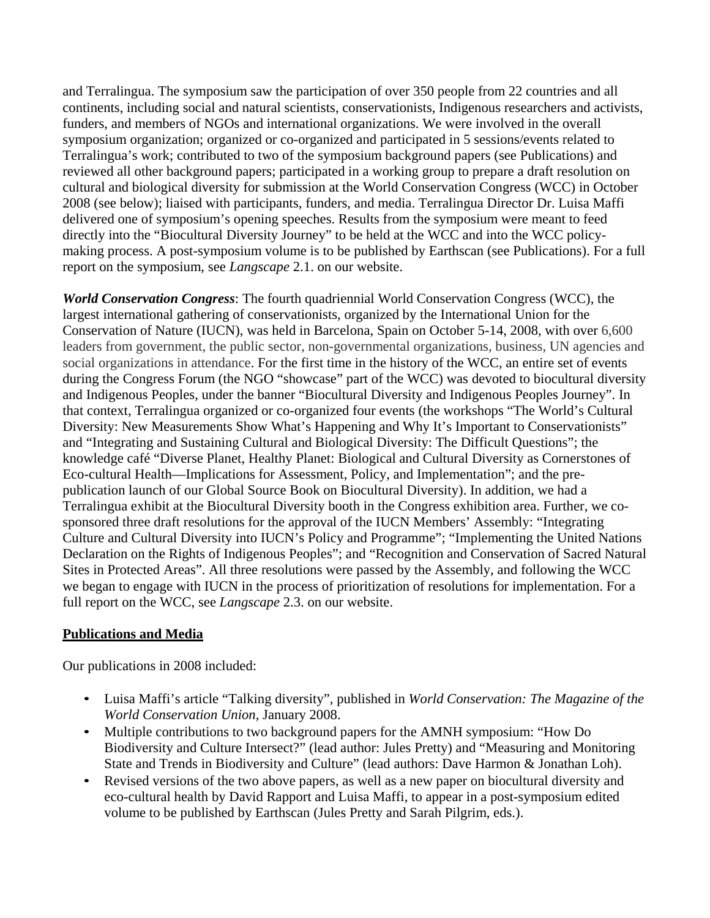and Terralingua. The symposium saw the participation of over 350 people from 22 countries and all continents, including social and natural scientists, conservationists, Indigenous researchers and activists, funders, and members of NGOs and international organizations. We were involved in the overall symposium organization; organized or co-organized and participated in 5 sessions/events related to Terralingua's work; contributed to two of the symposium background papers (see Publications) and reviewed all other background papers; participated in a working group to prepare a draft resolution on cultural and biological diversity for submission at the World Conservation Congress (WCC) in October 2008 (see below); liaised with participants, funders, and media. Terralingua Director Dr. Luisa Maffi delivered one of symposium's opening speeches. Results from the symposium were meant to feed directly into the "Biocultural Diversity Journey" to be held at the WCC and into the WCC policymaking process. A post-symposium volume is to be published by Earthscan (see Publications). For a full report on the symposium, see *Langscape* 2.1. on our website.

*World Conservation Congress*: The fourth quadriennial World Conservation Congress (WCC), the largest international gathering of conservationists, organized by the International Union for the Conservation of Nature (IUCN), was held in Barcelona, Spain on October 5-14, 2008, with over 6,600 leaders from government, the public sector, non-governmental organizations, business, UN agencies and social organizations in attendance. For the first time in the history of the WCC, an entire set of events during the Congress Forum (the NGO "showcase" part of the WCC) was devoted to biocultural diversity and Indigenous Peoples, under the banner "Biocultural Diversity and Indigenous Peoples Journey". In that context, Terralingua organized or co-organized four events (the workshops "The World's Cultural Diversity: New Measurements Show What's Happening and Why It's Important to Conservationists" and "Integrating and Sustaining Cultural and Biological Diversity: The Difficult Questions"; the knowledge café "Diverse Planet, Healthy Planet: Biological and Cultural Diversity as Cornerstones of Eco-cultural Health—Implications for Assessment, Policy, and Implementation"; and the prepublication launch of our Global Source Book on Biocultural Diversity). In addition, we had a Terralingua exhibit at the Biocultural Diversity booth in the Congress exhibition area. Further, we cosponsored three draft resolutions for the approval of the IUCN Members' Assembly: "Integrating Culture and Cultural Diversity into IUCN's Policy and Programme"; "Implementing the United Nations Declaration on the Rights of Indigenous Peoples"; and "Recognition and Conservation of Sacred Natural Sites in Protected Areas". All three resolutions were passed by the Assembly, and following the WCC we began to engage with IUCN in the process of prioritization of resolutions for implementation. For a full report on the WCC, see *Langscape* 2.3. on our website.

#### **Publications and Media**

Our publications in 2008 included:

- Luisa Maffi's article "Talking diversity", published in *World Conservation: The Magazine of the World Conservation Union*, January 2008.
- Multiple contributions to two background papers for the AMNH symposium: "How Do Biodiversity and Culture Intersect?" (lead author: Jules Pretty) and "Measuring and Monitoring State and Trends in Biodiversity and Culture" (lead authors: Dave Harmon & Jonathan Loh).
- Revised versions of the two above papers, as well as a new paper on biocultural diversity and eco-cultural health by David Rapport and Luisa Maffi, to appear in a post-symposium edited volume to be published by Earthscan (Jules Pretty and Sarah Pilgrim, eds.).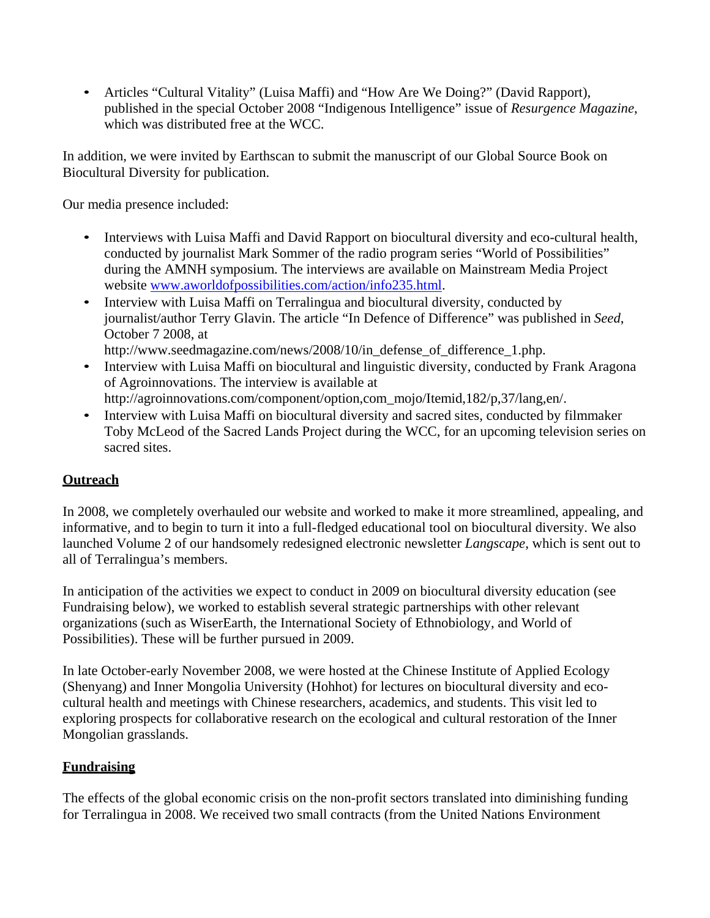• Articles "Cultural Vitality" (Luisa Maffi) and "How Are We Doing?" (David Rapport), published in the special October 2008 "Indigenous Intelligence" issue of *Resurgence Magazine*, which was distributed free at the WCC.

In addition, we were invited by Earthscan to submit the manuscript of our Global Source Book on Biocultural Diversity for publication.

Our media presence included:

- Interviews with Luisa Maffi and David Rapport on biocultural diversity and eco-cultural health, conducted by journalist Mark Sommer of the radio program series "World of Possibilities" during the AMNH symposium. The interviews are available on Mainstream Media Project website [www.aworldofpossibilities.com/action/info235.html.](http://www.aworldofpossibilities.com/action/info235.html)
- Interview with Luisa Maffi on Terralingua and biocultural diversity, conducted by journalist/author [Terry Glavin. The article "In Defence of Difference" was published in](http://www.seedmagazine.com/news/2008/10/in_defense_of_difference_1.php) *Seed*, October 7 2008, at
- [http://www.seedmagazine.com/news/2008/10/in\\_defense\\_of\\_difference\\_1.php.](http://www.seedmagazine.com/news/2008/10/in_defense_of_difference_1.php) • Interview with Luisa Maffi on biocultural and linguistic diversity, conducted by Frank Aragona
- of Agroinnovations. The interview is available at [http://agroinnovations.com/component/option,com\\_mojo/Itemid,182/p,37/lang,en/.](http://agroinnovations.com/component/option%2Ccom_mojo/Itemid%2C182/p%2C37/lang%2Cen/)
- Interview with Luisa Maffi on biocultural diversity and sacred sites, conducted by filmmaker Toby McLeod of the Sacred Lands Project during the WCC, for an upcoming television series on sacred sites.

# **Outreach**

In 2008, we completely overhauled our website and worked to make it more streamlined, appealing, and informative, and to begin to turn it into a full-fledged educational tool on biocultural diversity. We also launched Volume 2 of our handsomely redesigned electronic newsletter *Langscape*, which is sent out to all of Terralingua's members.

In anticipation of the activities we expect to conduct in 2009 on biocultural diversity education (see Fundraising below), we worked to establish several strategic partnerships with other relevant organizations (such as WiserEarth, the International Society of Ethnobiology, and World of Possibilities). These will be further pursued in 2009.

In late October-early November 2008, we were hosted at the Chinese Institute of Applied Ecology (Shenyang) and Inner Mongolia University (Hohhot) for lectures on biocultural diversity and ecocultural health and meetings with Chinese researchers, academics, and students. This visit led to exploring prospects for collaborative research on the ecological and cultural restoration of the Inner Mongolian grasslands.

## **Fundraising**

The effects of the global economic crisis on the non-profit sectors translated into diminishing funding for Terralingua in 2008. We received two small contracts (from the United Nations Environment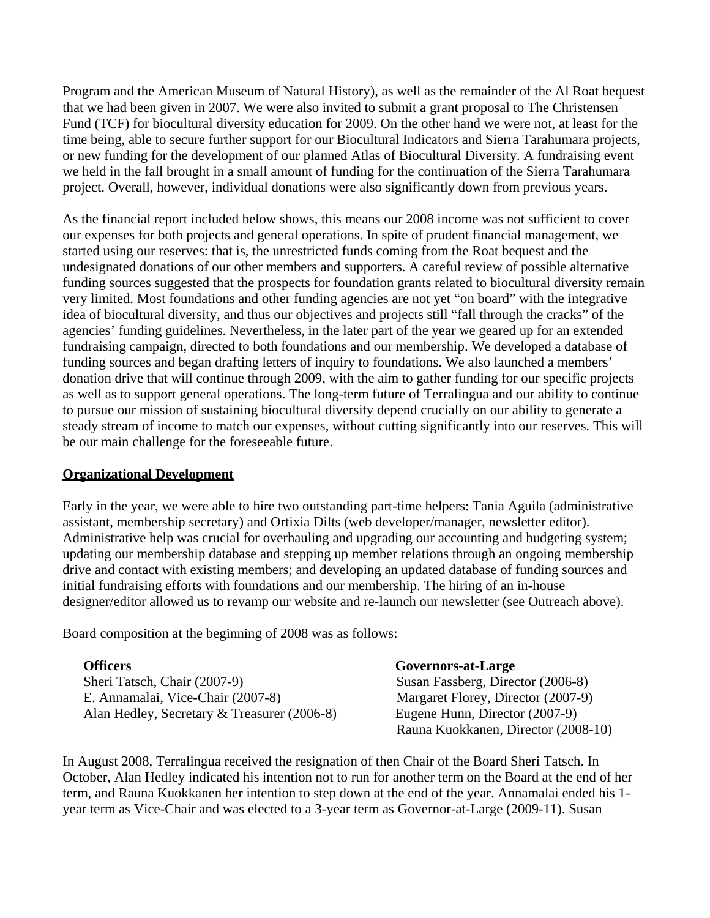Program and the American Museum of Natural History), as well as the remainder of the Al Roat bequest that we had been given in 2007. We were also invited to submit a grant proposal to The Christensen Fund (TCF) for biocultural diversity education for 2009. On the other hand we were not, at least for the time being, able to secure further support for our Biocultural Indicators and Sierra Tarahumara projects, or new funding for the development of our planned Atlas of Biocultural Diversity. A fundraising event we held in the fall brought in a small amount of funding for the continuation of the Sierra Tarahumara project. Overall, however, individual donations were also significantly down from previous years.

As the financial report included below shows, this means our 2008 income was not sufficient to cover our expenses for both projects and general operations. In spite of prudent financial management, we started using our reserves: that is, the unrestricted funds coming from the Roat bequest and the undesignated donations of our other members and supporters. A careful review of possible alternative funding sources suggested that the prospects for foundation grants related to biocultural diversity remain very limited. Most foundations and other funding agencies are not yet "on board" with the integrative idea of biocultural diversity, and thus our objectives and projects still "fall through the cracks" of the agencies' funding guidelines. Nevertheless, in the later part of the year we geared up for an extended fundraising campaign, directed to both foundations and our membership. We developed a database of funding sources and began drafting letters of inquiry to foundations. We also launched a members' donation drive that will continue through 2009, with the aim to gather funding for our specific projects as well as to support general operations. The long-term future of Terralingua and our ability to continue to pursue our mission of sustaining biocultural diversity depend crucially on our ability to generate a steady stream of income to match our expenses, without cutting significantly into our reserves. This will be our main challenge for the foreseeable future.

#### **Organizational Development**

Early in the year, we were able to hire two outstanding part-time helpers: Tania Aguila (administrative assistant, membership secretary) and Ortixia Dilts (web developer/manager, newsletter editor). Administrative help was crucial for overhauling and upgrading our accounting and budgeting system; updating our membership database and stepping up member relations through an ongoing membership drive and contact with existing members; and developing an updated database of funding sources and initial fundraising efforts with foundations and our membership. The hiring of an in-house designer/editor allowed us to revamp our website and re-launch our newsletter (see Outreach above).

Board composition at the beginning of 2008 was as follows:

Sheri Tatsch, Chair (2007-9) Susan Fassberg, Director (2006-8) E. Annamalai, Vice-Chair (2007-8) Margaret Florey, Director (2007-9)<br>Alan Hedley, Secretary & Treasurer (2006-8) Eugene Hunn, Director (2007-9) Alan Hedley, Secretary & Treasurer (2006-8)

#### **Officers Governors-at-Large**

Rauna Kuokkanen, Director (2008-10)

In August 2008, Terralingua received the resignation of then Chair of the Board Sheri Tatsch. In October, Alan Hedley indicated his intention not to run for another term on the Board at the end of her term, and Rauna Kuokkanen her intention to step down at the end of the year. Annamalai ended his 1 year term as Vice-Chair and was elected to a 3-year term as Governor-at-Large (2009-11). Susan